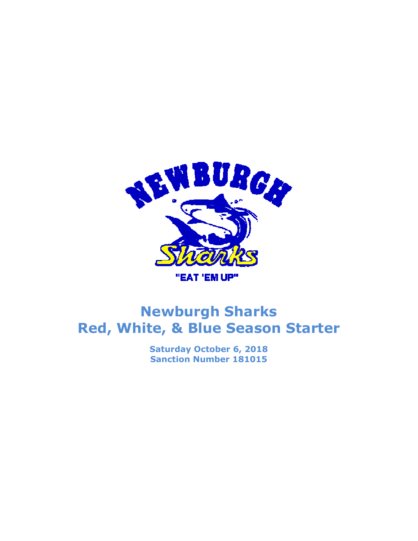

## Newburgh Sharks Red, White, & Blue Season Starter

Saturday October 6, 2018 Sanction Number 181015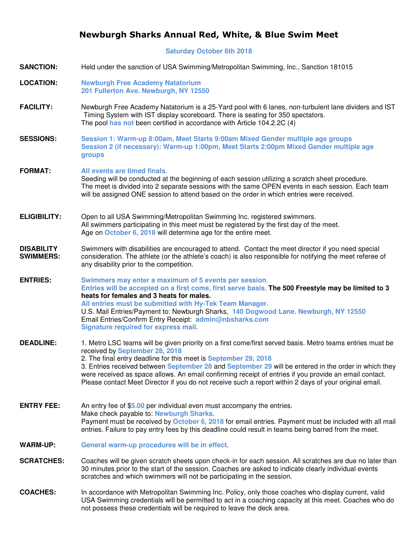## Newburgh Sharks Annual Red, White, & Blue Swim Meet

**Saturday October 6th 2018** 

| <b>SANCTION:</b>                      | Held under the sanction of USA Swimming/Metropolitan Swimming, Inc., Sanction 181015                                                                                                                                                                                                                                                                                                                                                                                                                                                       |
|---------------------------------------|--------------------------------------------------------------------------------------------------------------------------------------------------------------------------------------------------------------------------------------------------------------------------------------------------------------------------------------------------------------------------------------------------------------------------------------------------------------------------------------------------------------------------------------------|
| <b>LOCATION:</b>                      | <b>Newburgh Free Academy Natatorium</b><br>201 Fullerton Ave. Newburgh, NY 12550                                                                                                                                                                                                                                                                                                                                                                                                                                                           |
| <b>FACILITY:</b>                      | Newburgh Free Academy Natatorium is a 25-Yard pool with 6 lanes, non-turbulent lane dividers and IST<br>Timing System with IST display scoreboard. There is seating for 350 spectators.<br>The pool has not been certified in accordance with Article 104.2.2C (4)                                                                                                                                                                                                                                                                         |
| <b>SESSIONS:</b>                      | Session 1: Warm-up 8:00am, Meet Starts 9:00am Mixed Gender multiple age groups<br>Session 2 (if necessary): Warm-up 1:00pm, Meet Starts 2:00pm Mixed Gender multiple age<br>groups                                                                                                                                                                                                                                                                                                                                                         |
| <b>FORMAT:</b>                        | All events are timed finals.<br>Seeding will be conducted at the beginning of each session utilizing a scratch sheet procedure.<br>The meet is divided into 2 separate sessions with the same OPEN events in each session. Each team<br>will be assigned ONE session to attend based on the order in which entries were received.                                                                                                                                                                                                          |
| <b>ELIGIBILITY:</b>                   | Open to all USA Swimming/Metropolitan Swimming Inc. registered swimmers.<br>All swimmers participating in this meet must be registered by the first day of the meet.<br>Age on October 6, 2018 will determine age for the entire meet.                                                                                                                                                                                                                                                                                                     |
| <b>DISABILITY</b><br><b>SWIMMERS:</b> | Swimmers with disabilities are encouraged to attend. Contact the meet director if you need special<br>consideration. The athlete (or the athlete's coach) is also responsible for notifying the meet referee of<br>any disability prior to the competition.                                                                                                                                                                                                                                                                                |
| <b>ENTRIES:</b>                       | Swimmers may enter a maximum of 5 events per session.<br>Entries will be accepted on a first come, first serve basis. The 500 Freestyle may be limited to 3<br>heats for females and 3 heats for males.<br>All entries must be submitted with Hy-Tek Team Manager.<br>U.S. Mail Entries/Payment to: Newburgh Sharks, 140 Dogwood Lane. Newburgh, NY 12550<br>Email Entries/Confirm Entry Receipt: admin@nbsharks.com<br>Signature required for express mail.                                                                               |
| <b>DEADLINE:</b>                      | 1. Metro LSC teams will be given priority on a first come/first served basis. Metro teams entries must be<br>received by September 28, 2018<br>2. The final entry deadline for this meet is September 29, 2018<br>3. Entries received between September 28 and September 29 will be entered in the order in which they<br>were received as space allows. An email confirming receipt of entries if you provide an email contact.<br>Please contact Meet Director if you do not receive such a report within 2 days of your original email. |
| <b>ENTRY FEE:</b>                     | An entry fee of \$5.00 per individual even must accompany the entries.<br>Make check payable to: Newburgh Sharks.<br>Payment must be received by October 6, 2018 for email entries. Payment must be included with all mail<br>entries. Failure to pay entry fees by this deadline could result in teams being barred from the meet.                                                                                                                                                                                                        |
| <b>WARM-UP:</b>                       | General warm-up procedures will be in effect.                                                                                                                                                                                                                                                                                                                                                                                                                                                                                              |
| <b>SCRATCHES:</b>                     | Coaches will be given scratch sheets upon check-in for each session. All scratches are due no later than<br>30 minutes prior to the start of the session. Coaches are asked to indicate clearly individual events<br>scratches and which swimmers will not be participating in the session.                                                                                                                                                                                                                                                |
| <b>COACHES:</b>                       | In accordance with Metropolitan Swimming Inc. Policy, only those coaches who display current, valid<br>USA Swimming credentials will be permitted to act in a coaching capacity at this meet. Coaches who do<br>not possess these credentials will be required to leave the deck area.                                                                                                                                                                                                                                                     |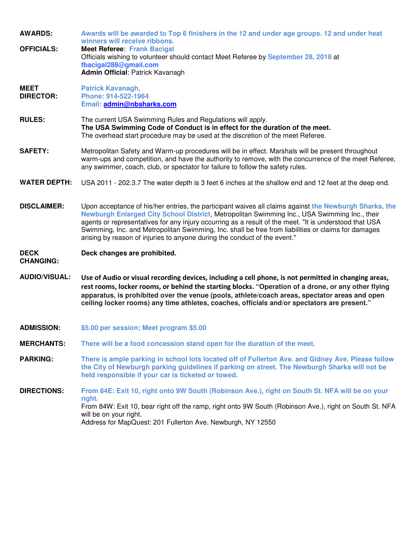**AWARDS: Awards will be awarded to Top 6 finishers in the 12 and under age groups. 12 and under heat winners will receive ribbons. OFFICIALS: Meet Referee**: **Frank Bacigal** Officials wishing to volunteer should contact Meet Referee by **September 28, 2018** at **fbacigal288@gmail.com Admin Official**: Patrick Kavanagh **MEET DIRECTOR: Patrick Kavanagh, Phone: 914-522-1964 Email: admin@nbsharks.com RULES:** The current USA Swimming Rules and Regulations will apply. **The USA Swimming Code of Conduct is in effect for the duration of the meet.** The overhead start procedure may be used at the discretion of the meet Referee. **SAFETY:** Metropolitan Safety and Warm-up procedures will be in effect. Marshals will be present throughout warm-ups and competition, and have the authority to remove, with the concurrence of the meet Referee, any swimmer, coach, club, or spectator for failure to follow the safety rules. **WATER DEPTH:** USA 2011 - 202.3.7 The water depth is 3 feet 6 inches at the shallow end and 12 feet at the deep end. **DISCLAIMER:** Upon acceptance of his/her entries, the participant waives all claims against **the Newburgh Sharks, the Newburgh Enlarged City School District**, Metropolitan Swimming Inc., USA Swimming Inc., their agents or representatives for any injury occurring as a result of the meet. "It is understood that USA Swimming, Inc. and Metropolitan Swimming, Inc. shall be free from liabilities or claims for damages arising by reason of injuries to anyone during the conduct of the event." **DECK CHANGING: Deck changes are prohibited. AUDIO/VISUAL:** Use of Audio or visual recording devices, including a cell phone, is not permitted in changing areas, rest rooms, locker rooms, or behind the starting blocks. **"Operation of a drone, or any other flying apparatus, is prohibited over the venue (pools, athlete/coach areas, spectator areas and open ceiling locker rooms) any time athletes, coaches, officials and/or spectators are present." ADMISSION: \$5.00 per session; Meet program \$5.00 MERCHANTS: There will be a food concession stand open for the duration of the meet. PARKING: There is ample parking in school lots located off of Fullerton Ave. and Gidney Ave. Please follow the City of Newburgh parking guidelines if parking on street. The Newburgh Sharks will not be held responsible if your car is ticketed or towed. DIRECTIONS: From 84E: Exit 10, right onto 9W South (Robinson Ave.), right on South St. NFA will be on your right.** From 84W: Exit 10, bear right off the ramp, right onto 9W South (Robinson Ave.), right on South St. NFA will be on your right. Address for MapQuest: 201 Fullerton Ave. Newburgh, NY 12550